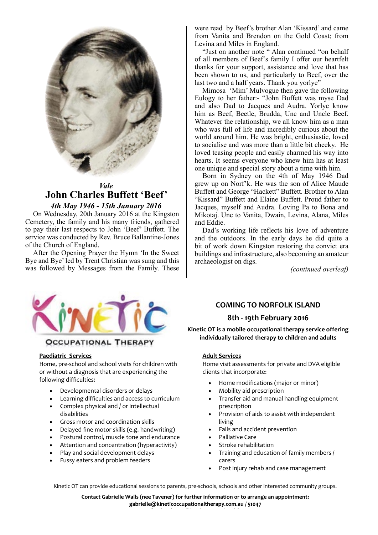

# *Vale* **John Charles Buffett 'Beef'**

### *4th May 1946 - 15th January 2016*

On Wednesday, 20th January 2016 at the Kingston Cemetery, the family and his many friends, gathered to pay their last respects to John 'Beef' Buffett. The service was conducted by Rev. Bruce Ballantine-Jones of the Church of England.

After the Opening Prayer the Hymn 'In the Sweet Bye and Bye' led by Trent Christian was sung and this was followed by Messages from the Family. These

were read by Beef's brother Alan 'Kissard' and came from Vanita and Brendon on the Gold Coast; from Levina and Miles in England.

"Just on another note " Alan continued "on behalf of all members of Beef's family I offer our heartfelt thanks for your support, assistance and love that has been shown to us, and particularly to Beef, over the last two and a half years. Thank you yorlye"

Mimosa 'Mim' Mulvogue then gave the following Eulogy to her father:- "John Buffett was myse Dad and also Dad to Jacques and Audra. Yorlye know him as Beef, Beetle, Brudda, Unc and Uncle Beef. Whatever the relationship, we all know him as a man who was full of life and incredibly curious about the world around him. He was bright, enthusiastic, loved to socialise and was more than a little bit cheeky. He loved teasing people and easily charmed his way into hearts. It seems everyone who knew him has at least one unique and special story about a time with him.

Born in Sydney on the 4th of May 1946 Dad grew up on Norf'k. He was the son of Alice Maude Buffett and George "Hackett" Buffett. Brother to Alan "Kissard" Buffett and Elaine Buffett. Proud father to Jacques, myself and Audra. Loving Pa to Bona and Mikotaj. Unc to Vanita, Dwain, Levina, Alana, Miles and Eddie.

Dad's working life reflects his love of adventure and the outdoors. In the early days he did quite a bit of work down Kingston restoring the convict era buildings and infrastructure, also becoming an amateur archaeologist on digs.

*(continued overleaf)*



## **OCCUPATIONAL THERAPY**

#### **Paediatric Services**

Home, pre-school and school visits for children with or without a diagnosis that are experiencing the following difficulties:

- Developmental disorders or delays
- Learning difficulties and access to curriculum
- Complex physical and / or intellectual disabilities
- Gross motor and coordination skills
- Delayed fine motor skills (e.g. handwriting)
- Postural control, muscle tone and endurance
- Attention and concentration (hyperactivity)
- Play and social development delays
- Fussy eaters and problem feeders

# **COMING TO NORFOLK ISLAND**

### **8th - 19th February 2016**

**Kinetic OT is a mobile occupational therapy service offering individually tailored therapy to children and adults**

### **Adult Services**

Home visit assessments for private and DVA eligible clients that incorporate:

- Home modifications (major or minor)
- Mobility aid prescription
- Transfer aid and manual handling equipment prescription
- Provision of aids to assist with independent living
- Falls and accident prevention
- Palliative Care
- Stroke rehabilitation
- Training and education of family members / carers
- Post injury rehab and case management

Kinetic OT can provide educational sessions to parents, pre-schools, schools and other interested community groups.

**Contact Gabrielle Walls (nee Tavener) for further information or to arrange an appointment: gabrielle@kineticoccupationaltherapy.com.au / 51047 www.facebook.com/kineticoccupationaltherapy**